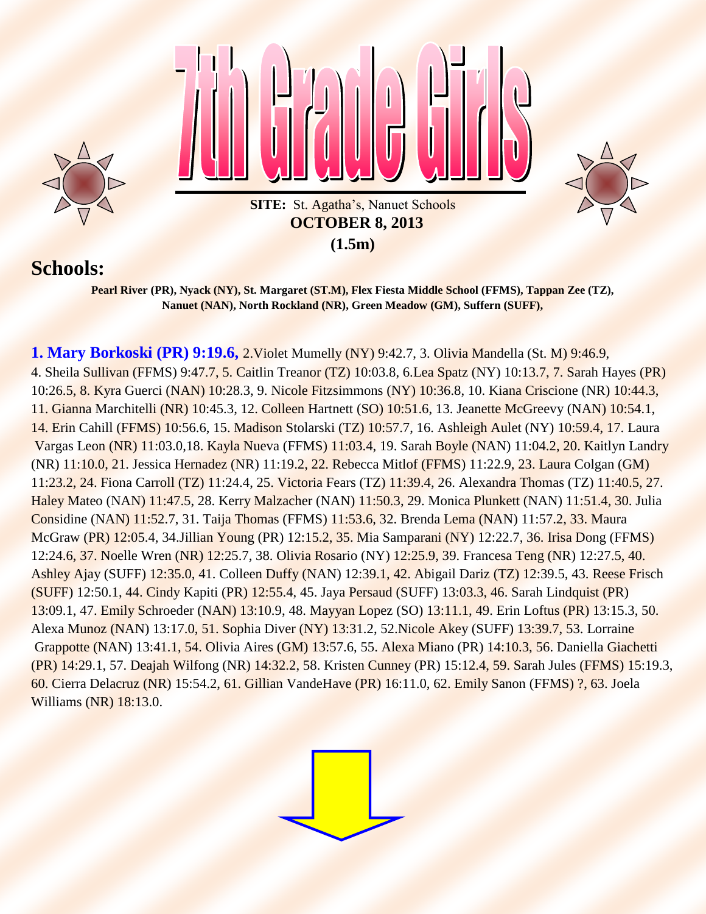

## **Schools:**

**Pearl River (PR), Nyack (NY), St. Margaret (ST.M), Flex Fiesta Middle School (FFMS), Tappan Zee (TZ), Nanuet (NAN), North Rockland (NR), Green Meadow (GM), Suffern (SUFF),**

**1. Mary Borkoski (PR) 9:19.6,** 2.Violet Mumelly (NY) 9:42.7, 3. Olivia Mandella (St. M) 9:46.9, 4. Sheila Sullivan (FFMS) 9:47.7, 5. Caitlin Treanor (TZ) 10:03.8, 6.Lea Spatz (NY) 10:13.7, 7. Sarah Hayes (PR) 10:26.5, 8. Kyra Guerci (NAN) 10:28.3, 9. Nicole Fitzsimmons (NY) 10:36.8, 10. Kiana Criscione (NR) 10:44.3, 11. Gianna Marchitelli (NR) 10:45.3, 12. Colleen Hartnett (SO) 10:51.6, 13. Jeanette McGreevy (NAN) 10:54.1, 14. Erin Cahill (FFMS) 10:56.6, 15. Madison Stolarski (TZ) 10:57.7, 16. Ashleigh Aulet (NY) 10:59.4, 17. Laura Vargas Leon (NR) 11:03.0,18. Kayla Nueva (FFMS) 11:03.4, 19. Sarah Boyle (NAN) 11:04.2, 20. Kaitlyn Landry (NR) 11:10.0, 21. Jessica Hernadez (NR) 11:19.2, 22. Rebecca Mitlof (FFMS) 11:22.9, 23. Laura Colgan (GM) 11:23.2, 24. Fiona Carroll (TZ) 11:24.4, 25. Victoria Fears (TZ) 11:39.4, 26. Alexandra Thomas (TZ) 11:40.5, 27. Haley Mateo (NAN) 11:47.5, 28. Kerry Malzacher (NAN) 11:50.3, 29. Monica Plunkett (NAN) 11:51.4, 30. Julia Considine (NAN) 11:52.7, 31. Taija Thomas (FFMS) 11:53.6, 32. Brenda Lema (NAN) 11:57.2, 33. Maura McGraw (PR) 12:05.4, 34.Jillian Young (PR) 12:15.2, 35. Mia Samparani (NY) 12:22.7, 36. Irisa Dong (FFMS) 12:24.6, 37. Noelle Wren (NR) 12:25.7, 38. Olivia Rosario (NY) 12:25.9, 39. Francesa Teng (NR) 12:27.5, 40. Ashley Ajay (SUFF) 12:35.0, 41. Colleen Duffy (NAN) 12:39.1, 42. Abigail Dariz (TZ) 12:39.5, 43. Reese Frisch (SUFF) 12:50.1, 44. Cindy Kapiti (PR) 12:55.4, 45. Jaya Persaud (SUFF) 13:03.3, 46. Sarah Lindquist (PR) 13:09.1, 47. Emily Schroeder (NAN) 13:10.9, 48. Mayyan Lopez (SO) 13:11.1, 49. Erin Loftus (PR) 13:15.3, 50. Alexa Munoz (NAN) 13:17.0, 51. Sophia Diver (NY) 13:31.2, 52.Nicole Akey (SUFF) 13:39.7, 53. Lorraine Grappotte (NAN) 13:41.1, 54. Olivia Aires (GM) 13:57.6, 55. Alexa Miano (PR) 14:10.3, 56. Daniella Giachetti (PR) 14:29.1, 57. Deajah Wilfong (NR) 14:32.2, 58. Kristen Cunney (PR) 15:12.4, 59. Sarah Jules (FFMS) 15:19.3, 60. Cierra Delacruz (NR) 15:54.2, 61. Gillian VandeHave (PR) 16:11.0, 62. Emily Sanon (FFMS) ?, 63. Joela Williams (NR) 18:13.0.

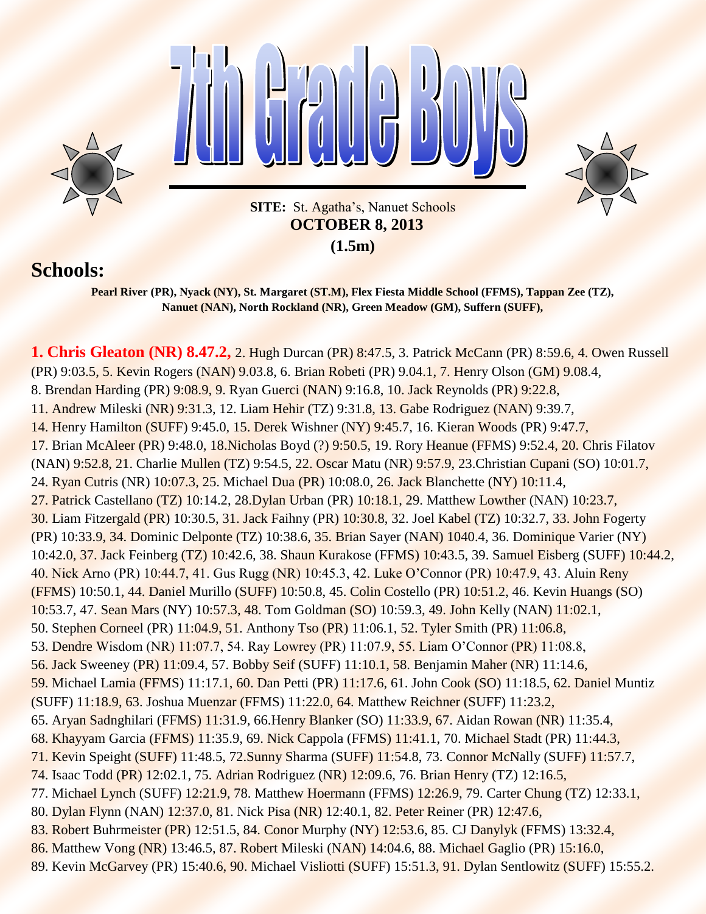

**(1.5m)**

## **Schools:**

**Pearl River (PR), Nyack (NY), St. Margaret (ST.M), Flex Fiesta Middle School (FFMS), Tappan Zee (TZ), Nanuet (NAN), North Rockland (NR), Green Meadow (GM), Suffern (SUFF),**

**1. Chris Gleaton (NR) 8.47.2,** 2. Hugh Durcan (PR) 8:47.5, 3. Patrick McCann (PR) 8:59.6, 4. Owen Russell (PR) 9:03.5, 5. Kevin Rogers (NAN) 9.03.8, 6. Brian Robeti (PR) 9.04.1, 7. Henry Olson (GM) 9.08.4, 8. Brendan Harding (PR) 9:08.9, 9. Ryan Guerci (NAN) 9:16.8, 10. Jack Reynolds (PR) 9:22.8, 11. Andrew Mileski (NR) 9:31.3, 12. Liam Hehir (TZ) 9:31.8, 13. Gabe Rodriguez (NAN) 9:39.7, 14. Henry Hamilton (SUFF) 9:45.0, 15. Derek Wishner (NY) 9:45.7, 16. Kieran Woods (PR) 9:47.7, 17. Brian McAleer (PR) 9:48.0, 18.Nicholas Boyd (?) 9:50.5, 19. Rory Heanue (FFMS) 9:52.4, 20. Chris Filatov (NAN) 9:52.8, 21. Charlie Mullen (TZ) 9:54.5, 22. Oscar Matu (NR) 9:57.9, 23.Christian Cupani (SO) 10:01.7, 24. Ryan Cutris (NR) 10:07.3, 25. Michael Dua (PR) 10:08.0, 26. Jack Blanchette (NY) 10:11.4, 27. Patrick Castellano (TZ) 10:14.2, 28. Dylan Urban (PR) 10:18.1, 29. Matthew Lowther (NAN) 10:23.7, 30. Liam Fitzergald (PR) 10:30.5, 31. Jack Faihny (PR) 10:30.8, 32. Joel Kabel (TZ) 10:32.7, 33. John Fogerty (PR) 10:33.9, 34. Dominic Delponte (TZ) 10:38.6, 35. Brian Sayer (NAN) 1040.4, 36. Dominique Varier (NY) 10:42.0, 37. Jack Feinberg (TZ) 10:42.6, 38. Shaun Kurakose (FFMS) 10:43.5, 39. Samuel Eisberg (SUFF) 10:44.2, 40. Nick Arno (PR) 10:44.7, 41. Gus Rugg (NR) 10:45.3, 42. Luke O'Connor (PR) 10:47.9, 43. Aluin Reny (FFMS) 10:50.1, 44. Daniel Murillo (SUFF) 10:50.8, 45. Colin Costello (PR) 10:51.2, 46. Kevin Huangs (SO) 10:53.7, 47. Sean Mars (NY) 10:57.3, 48. Tom Goldman (SO) 10:59.3, 49. John Kelly (NAN) 11:02.1, 50. Stephen Corneel (PR) 11:04.9, 51. Anthony Tso (PR) 11:06.1, 52. Tyler Smith (PR) 11:06.8, 53. Dendre Wisdom (NR) 11:07.7, 54. Ray Lowrey (PR) 11:07.9, 55. Liam O'Connor (PR) 11:08.8, 56. Jack Sweeney (PR) 11:09.4, 57. Bobby Seif (SUFF) 11:10.1, 58. Benjamin Maher (NR) 11:14.6, 59. Michael Lamia (FFMS) 11:17.1, 60. Dan Petti (PR) 11:17.6, 61. John Cook (SO) 11:18.5, 62. Daniel Muntiz (SUFF) 11:18.9, 63. Joshua Muenzar (FFMS) 11:22.0, 64. Matthew Reichner (SUFF) 11:23.2, 65. Aryan Sadnghilari (FFMS) 11:31.9, 66.Henry Blanker (SO) 11:33.9, 67. Aidan Rowan (NR) 11:35.4, 68. Khayyam Garcia (FFMS) 11:35.9, 69. Nick Cappola (FFMS) 11:41.1, 70. Michael Stadt (PR) 11:44.3, 71. Kevin Speight (SUFF) 11:48.5, 72.Sunny Sharma (SUFF) 11:54.8, 73. Connor McNally (SUFF) 11:57.7, 74. Isaac Todd (PR) 12:02.1, 75. Adrian Rodriguez (NR) 12:09.6, 76. Brian Henry (TZ) 12:16.5, 77. Michael Lynch (SUFF) 12:21.9, 78. Matthew Hoermann (FFMS) 12:26.9, 79. Carter Chung (TZ) 12:33.1, 80. Dylan Flynn (NAN) 12:37.0, 81. Nick Pisa (NR) 12:40.1, 82. Peter Reiner (PR) 12:47.6, 83. Robert Buhrmeister (PR) 12:51.5, 84. Conor Murphy (NY) 12:53.6, 85. CJ Danylyk (FFMS) 13:32.4, 86. Matthew Vong (NR) 13:46.5, 87. Robert Mileski (NAN) 14:04.6, 88. Michael Gaglio (PR) 15:16.0,

89. Kevin McGarvey (PR) 15:40.6, 90. Michael Visliotti (SUFF) 15:51.3, 91. Dylan Sentlowitz (SUFF) 15:55.2.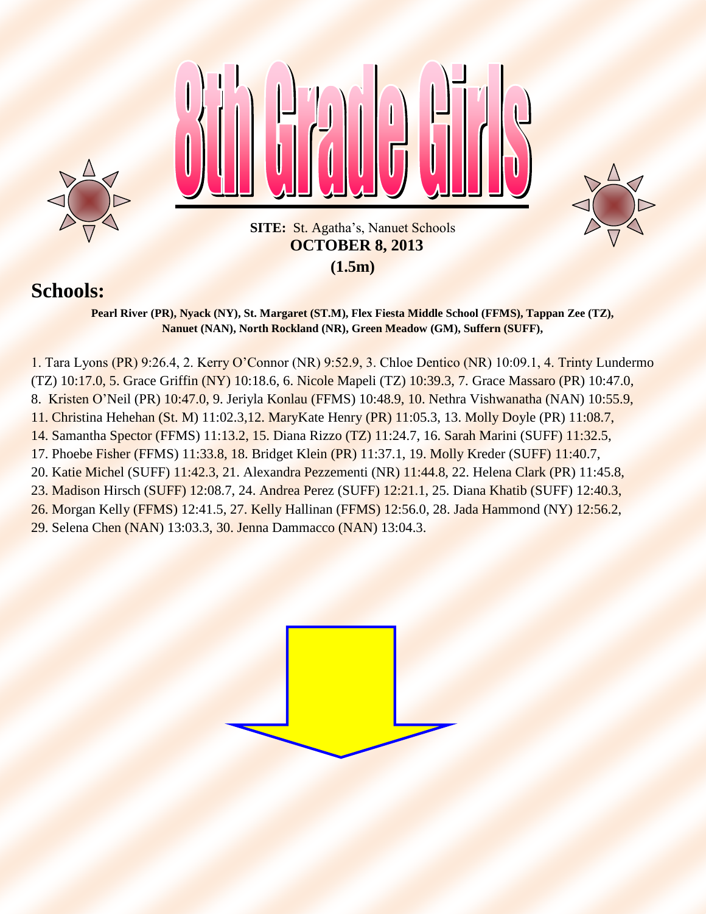

## **Schools:**

**Pearl River (PR), Nyack (NY), St. Margaret (ST.M), Flex Fiesta Middle School (FFMS), Tappan Zee (TZ), Nanuet (NAN), North Rockland (NR), Green Meadow (GM), Suffern (SUFF),**

1. Tara Lyons (PR) 9:26.4, 2. Kerry O'Connor (NR) 9:52.9, 3. Chloe Dentico (NR) 10:09.1, 4. Trinty Lundermo (TZ) 10:17.0, 5. Grace Griffin (NY) 10:18.6, 6. Nicole Mapeli (TZ) 10:39.3, 7. Grace Massaro (PR) 10:47.0, 8. Kristen O'Neil (PR) 10:47.0, 9. Jeriyla Konlau (FFMS) 10:48.9, 10. Nethra Vishwanatha (NAN) 10:55.9, 11. Christina Hehehan (St. M) 11:02.3,12. MaryKate Henry (PR) 11:05.3, 13. Molly Doyle (PR) 11:08.7, 14. Samantha Spector (FFMS) 11:13.2, 15. Diana Rizzo (TZ) 11:24.7, 16. Sarah Marini (SUFF) 11:32.5, 17. Phoebe Fisher (FFMS) 11:33.8, 18. Bridget Klein (PR) 11:37.1, 19. Molly Kreder (SUFF) 11:40.7, 20. Katie Michel (SUFF) 11:42.3, 21. Alexandra Pezzementi (NR) 11:44.8, 22. Helena Clark (PR) 11:45.8, 23. Madison Hirsch (SUFF) 12:08.7, 24. Andrea Perez (SUFF) 12:21.1, 25. Diana Khatib (SUFF) 12:40.3, 26. Morgan Kelly (FFMS) 12:41.5, 27. Kelly Hallinan (FFMS) 12:56.0, 28. Jada Hammond (NY) 12:56.2,

29. Selena Chen (NAN) 13:03.3, 30. Jenna Dammacco (NAN) 13:04.3.